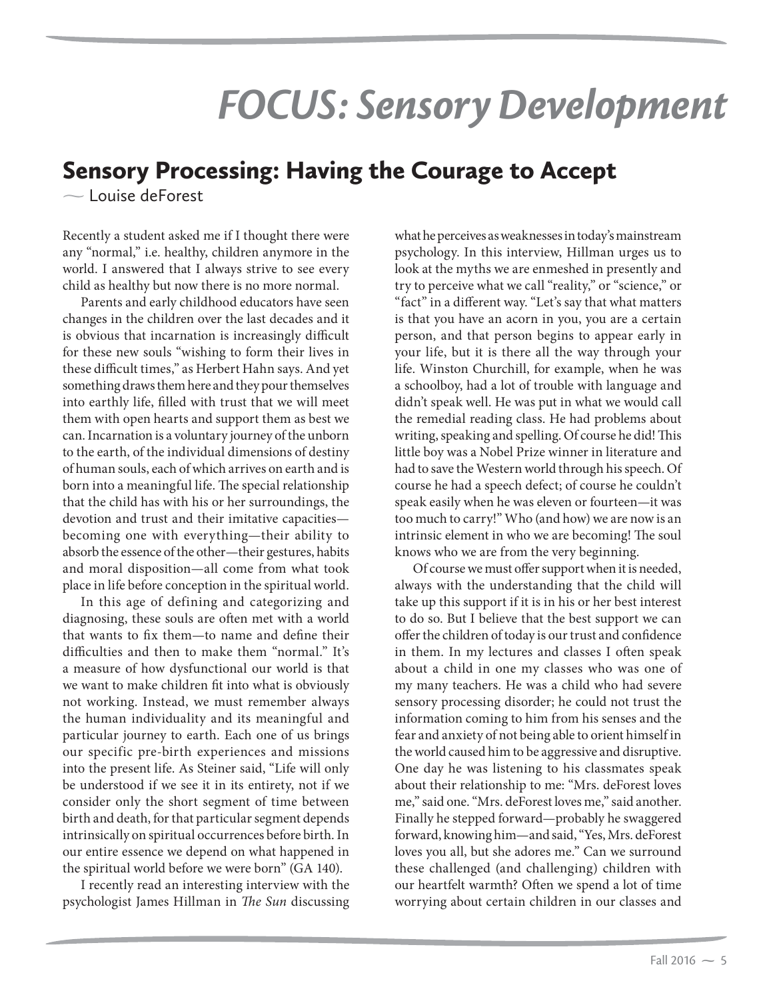## *FOCUS: Sensory Development*

## Sensory Processing: Having the Courage to Accept

 $\sim$  Louise deForest

Recently a student asked me if I thought there were any "normal," i.e. healthy, children anymore in the world. I answered that I always strive to see every child as healthy but now there is no more normal.

Parents and early childhood educators have seen changes in the children over the last decades and it is obvious that incarnation is increasingly difficult for these new souls "wishing to form their lives in these difficult times," as Herbert Hahn says. And yet something draws them here and they pour themselves into earthly life, filled with trust that we will meet them with open hearts and support them as best we can. Incarnation is a voluntary journey of the unborn to the earth, of the individual dimensions of destiny of human souls, each of which arrives on earth and is born into a meaningful life. The special relationship that the child has with his or her surroundings, the devotion and trust and their imitative capacities becoming one with everything—their ability to absorb the essence of the other—their gestures, habits and moral disposition—all come from what took place in life before conception in the spiritual world.

In this age of defining and categorizing and diagnosing, these souls are often met with a world that wants to fix them—to name and define their difficulties and then to make them "normal." It's a measure of how dysfunctional our world is that we want to make children fit into what is obviously not working. Instead, we must remember always the human individuality and its meaningful and particular journey to earth. Each one of us brings our specific pre-birth experiences and missions into the present life. As Steiner said, "Life will only be understood if we see it in its entirety, not if we consider only the short segment of time between birth and death, for that particular segment depends intrinsically on spiritual occurrences before birth. In our entire essence we depend on what happened in the spiritual world before we were born" (GA 140).

I recently read an interesting interview with the psychologist James Hillman in The Sun discussing what he perceives as weaknesses in today's mainstream psychology. In this interview, Hillman urges us to look at the myths we are enmeshed in presently and try to perceive what we call "reality," or "science," or "fact" in a different way. "Let's say that what matters is that you have an acorn in you, you are a certain person, and that person begins to appear early in your life, but it is there all the way through your life. Winston Churchill, for example, when he was a schoolboy, had a lot of trouble with language and didn't speak well. He was put in what we would call the remedial reading class. He had problems about writing, speaking and spelling. Of course he did! This little boy was a Nobel Prize winner in literature and had to save the Western world through his speech. Of course he had a speech defect; of course he couldn't speak easily when he was eleven or fourteen—it was too much to carry!" Who (and how) we are now is an intrinsic element in who we are becoming! The soul knows who we are from the very beginning.

Of course we must offer support when it is needed, always with the understanding that the child will take up this support if it is in his or her best interest to do so. But I believe that the best support we can offer the children of today is our trust and confidence in them. In my lectures and classes I often speak about a child in one my classes who was one of my many teachers. He was a child who had severe sensory processing disorder; he could not trust the information coming to him from his senses and the fear and anxiety of not being able to orient himself in the world caused him to be aggressive and disruptive. One day he was listening to his classmates speak about their relationship to me: "Mrs. deForest loves me," said one. "Mrs. deForest loves me," said another. Finally he stepped forward—probably he swaggered forward, knowing him—and said, "Yes, Mrs. deForest loves you all, but she adores me." Can we surround these challenged (and challenging) children with our heartfelt warmth? Often we spend a lot of time worrying about certain children in our classes and